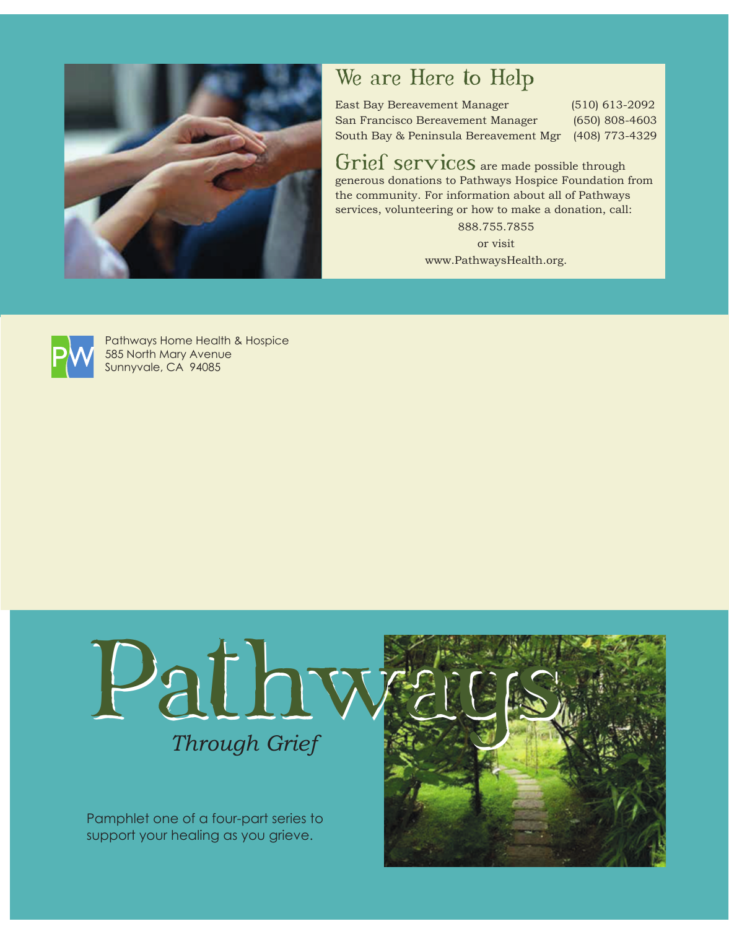

## We are Here to Help

East Bay Bereavement Manager (510) 613-2092 San Francisco Bereavement Manager (650) 808-4603 South Bay & Peninsula Bereavement Mgr (408) 773-4329

Grief services are made possible through generous donations to Pathways Hospice Foundation from the community. For information about all of Pathways services, volunteering or how to make a donation, call: 888.755.7855

> or visit www.PathwaysHealth.org.



Pathways Home Health & Hospice 585 North Mary Avenue Sunnyvale, CA 94085



Pamphlet one of a four-part series to support your healing as you grieve.